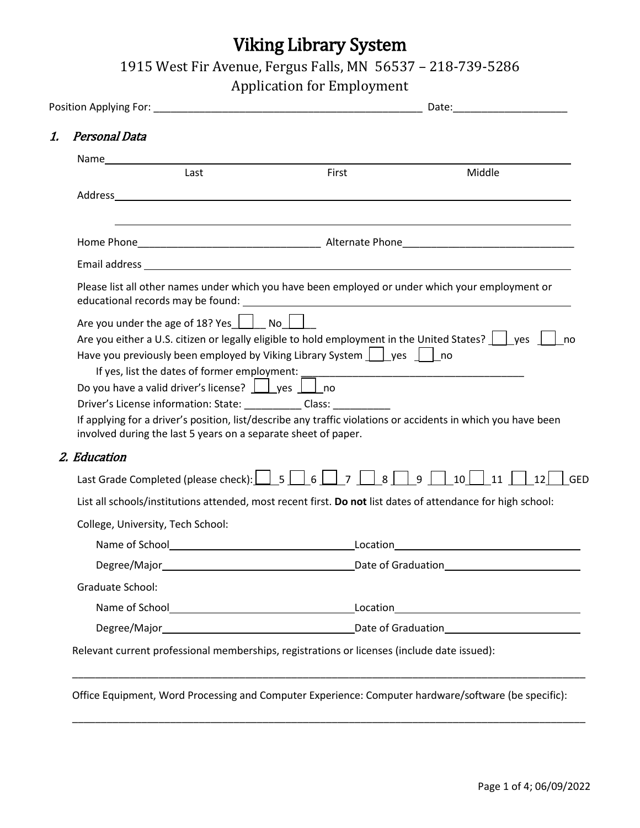# Viking Library System

1915 West Fir Avenue, Fergus Falls, MN 56537 – 218-739-5286

Application for Employment

|                                                                                                                                                                                                                                                                                                                                                                                                                                                                                                                                                                                                            |                     | Date: <u>Date: Explorer</u>              |  |
|------------------------------------------------------------------------------------------------------------------------------------------------------------------------------------------------------------------------------------------------------------------------------------------------------------------------------------------------------------------------------------------------------------------------------------------------------------------------------------------------------------------------------------------------------------------------------------------------------------|---------------------|------------------------------------------|--|
| Personal Data<br>1.                                                                                                                                                                                                                                                                                                                                                                                                                                                                                                                                                                                        |                     |                                          |  |
|                                                                                                                                                                                                                                                                                                                                                                                                                                                                                                                                                                                                            |                     |                                          |  |
| Last                                                                                                                                                                                                                                                                                                                                                                                                                                                                                                                                                                                                       | First               | Middle                                   |  |
|                                                                                                                                                                                                                                                                                                                                                                                                                                                                                                                                                                                                            |                     |                                          |  |
|                                                                                                                                                                                                                                                                                                                                                                                                                                                                                                                                                                                                            |                     |                                          |  |
|                                                                                                                                                                                                                                                                                                                                                                                                                                                                                                                                                                                                            |                     |                                          |  |
| Please list all other names under which you have been employed or under which your employment or                                                                                                                                                                                                                                                                                                                                                                                                                                                                                                           |                     |                                          |  |
| Are you under the age of 18? Yes $\boxed{\phantom{a}}$ No $\boxed{\phantom{a}}$<br>Are you either a U.S. citizen or legally eligible to hold employment in the United States? $\ \cdot\ $ yes<br>Have you previously been employed by Viking Library System $\vert$ yes $\vert$ no<br>Do you have a valid driver's license? $\Box$ yes $\Box$ no<br>Driver's License information: State: ____________ Class: __________<br>If applying for a driver's position, list/describe any traffic violations or accidents in which you have been<br>involved during the last 5 years on a separate sheet of paper. |                     | no                                       |  |
| 2. Education                                                                                                                                                                                                                                                                                                                                                                                                                                                                                                                                                                                               |                     |                                          |  |
| Last Grade Completed (please check):     5   6                                                                                                                                                                                                                                                                                                                                                                                                                                                                                                                                                             | 8   9   1<br>7      | $10$    <br>12 <sup>1</sup><br>11<br>GED |  |
| List all schools/institutions attended, most recent first. Do not list dates of attendance for high school:                                                                                                                                                                                                                                                                                                                                                                                                                                                                                                |                     |                                          |  |
| College, University, Tech School:                                                                                                                                                                                                                                                                                                                                                                                                                                                                                                                                                                          |                     |                                          |  |
| Name of School <u>Samuel Communication</u>                                                                                                                                                                                                                                                                                                                                                                                                                                                                                                                                                                 |                     | Location <u>______________________</u>   |  |
| Degree/Major_                                                                                                                                                                                                                                                                                                                                                                                                                                                                                                                                                                                              | Date of Graduation_ |                                          |  |
| Graduate School:                                                                                                                                                                                                                                                                                                                                                                                                                                                                                                                                                                                           |                     |                                          |  |
|                                                                                                                                                                                                                                                                                                                                                                                                                                                                                                                                                                                                            |                     |                                          |  |
|                                                                                                                                                                                                                                                                                                                                                                                                                                                                                                                                                                                                            |                     |                                          |  |

Office Equipment, Word Processing and Computer Experience: Computer hardware/software (be specific):

\_\_\_\_\_\_\_\_\_\_\_\_\_\_\_\_\_\_\_\_\_\_\_\_\_\_\_\_\_\_\_\_\_\_\_\_\_\_\_\_\_\_\_\_\_\_\_\_\_\_\_\_\_\_\_\_\_\_\_\_\_\_\_\_\_\_\_\_\_\_\_\_\_\_\_\_\_\_\_\_\_\_\_\_\_\_\_\_\_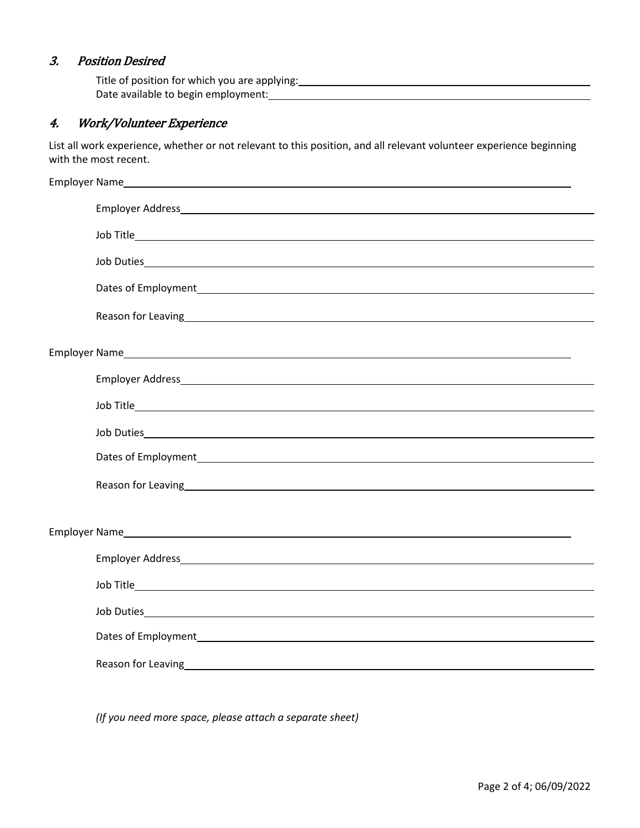### 3. Position Desired

| Title of position for which you are applying: |  |
|-----------------------------------------------|--|
| Date available to begin employment:           |  |

## 4. Work/Volunteer Experience

List all work experience, whether or not relevant to this position, and all relevant volunteer experience beginning with the most recent.

| Employer Address and the contract of the contract of the contract of the contract of the contract of the contract of the contract of the contract of the contract of the contract of the contract of the contract of the contr     |
|------------------------------------------------------------------------------------------------------------------------------------------------------------------------------------------------------------------------------------|
|                                                                                                                                                                                                                                    |
|                                                                                                                                                                                                                                    |
|                                                                                                                                                                                                                                    |
| Reason for Leaving home and the contract of the contract of the contract of the contract of the contract of the contract of the contract of the contract of the contract of the contract of the contract of the contract of th     |
|                                                                                                                                                                                                                                    |
| Employer Address and the contract of the contract of the contract of the contract of the contract of the contract of the contract of the contract of the contract of the contract of the contract of the contract of the contr     |
|                                                                                                                                                                                                                                    |
|                                                                                                                                                                                                                                    |
| Dates of Employment <b>Exercise 2018 Contract Contract Contract Contract Contract Contract Contract Contract Contract Contract Contract Contract Contract Contract Contract Contract Contract Contract Contract Contract Contr</b> |
| Reason for Leaving example and the contract of the contract of the contract of the contract of the contract of                                                                                                                     |
|                                                                                                                                                                                                                                    |
|                                                                                                                                                                                                                                    |
| Employer Address and the contract of the contract of the contract of the contract of the contract of the contract of the contract of the contract of the contract of the contract of the contract of the contract of the contr     |
|                                                                                                                                                                                                                                    |
|                                                                                                                                                                                                                                    |
|                                                                                                                                                                                                                                    |
| Reason for Leaving <b>Exercise 2018</b> Reason for Leaving 2018                                                                                                                                                                    |

*(If you need more space, please attach a separate sheet)*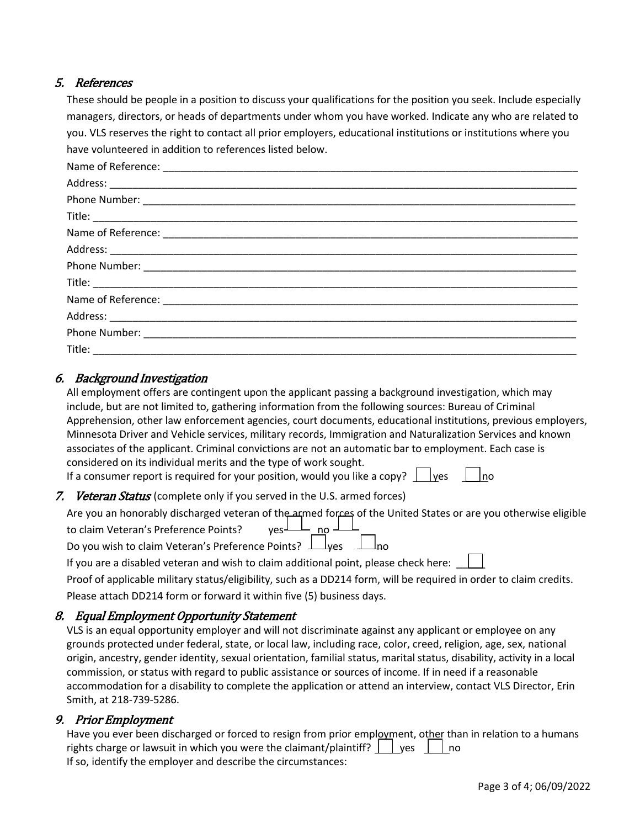#### 5. References

These should be people in a position to discuss your qualifications for the position you seek. Include especially managers, directors, or heads of departments under whom you have worked. Indicate any who are related to you. VLS reserves the right to contact all prior employers, educational institutions or institutions where you have volunteered in addition to references listed below.

#### 6. Background Investigation

| All employment offers are contingent upon the applicant passing a background investigation, which may        |
|--------------------------------------------------------------------------------------------------------------|
| include, but are not limited to, gathering information from the following sources: Bureau of Criminal        |
| Apprehension, other law enforcement agencies, court documents, educational institutions, previous employers, |
| Minnesota Driver and Vehicle services, military records, Immigration and Naturalization Services and known   |
| associates of the applicant. Criminal convictions are not an automatic bar to employment. Each case is       |
| considered on its individual merits and the type of work sought.                                             |
| If a consumer report is required for your position, would you like a copy? $\Box$ yes $\Box$ no              |

#### 7. Veteran Status (complete only if you served in the U.S. armed forces)

| Are you an honorably discharged veteran of the armed forces of the United States or are you otherwise eligible<br>to claim Veteran's Preference Points?<br>Do you wish to claim Veteran's Preference Points?<br>$\Box$ yes $\Box$ no |
|--------------------------------------------------------------------------------------------------------------------------------------------------------------------------------------------------------------------------------------|
|                                                                                                                                                                                                                                      |

If you are a disabled veteran and wish to claim additional point, please check here:  $\|\cdot\|$ 

Proof of applicable military status/eligibility, such as a DD214 form, will be required in order to claim credits. Please attach DD214 form or forward it within five (5) business days.

#### 8. Equal Employment Opportunity Statement

VLS is an equal opportunity employer and will not discriminate against any applicant or employee on any grounds protected under federal, state, or local law, including race, color, creed, religion, age, sex, national origin, ancestry, gender identity, sexual orientation, familial status, marital status, disability, activity in a local commission, or status with regard to public assistance or sources of income. If in need if a reasonable accommodation for a disability to complete the application or attend an interview, contact VLS Director, Erin Smith, at 218-739-5286.

#### 9. Prior Employment

Have you ever been discharged or forced to resign from prior employment, other than in relation to a humans rights charge or lawsuit in which you were the claimant/plaintiff?  $\Box$  yes  $\Box$  no If so, identify the employer and describe the circumstances: